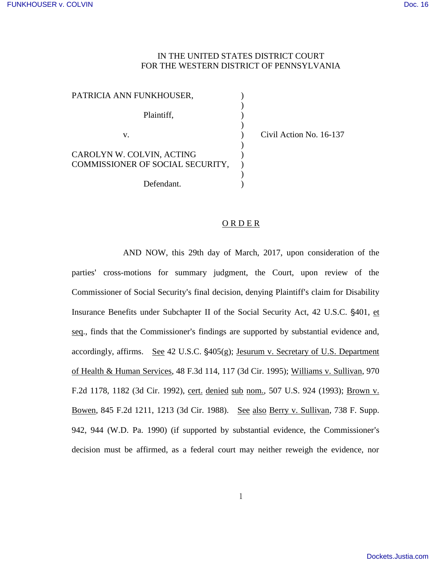## IN THE UNITED STATES DISTRICT COURT FOR THE WESTERN DISTRICT OF PENNSYLVANIA

| PATRICIA ANN FUNKHOUSER,         |  |
|----------------------------------|--|
| Plaintiff.                       |  |
|                                  |  |
| V.                               |  |
|                                  |  |
| CAROLYN W. COLVIN, ACTING        |  |
| COMMISSIONER OF SOCIAL SECURITY, |  |
|                                  |  |
| Defendant.                       |  |

Civil Action No. 16-137

## O R D E R

AND NOW, this 29th day of March, 2017, upon consideration of the parties' cross-motions for summary judgment, the Court, upon review of the Commissioner of Social Security's final decision, denying Plaintiff's claim for Disability Insurance Benefits under Subchapter II of the Social Security Act, 42 U.S.C. '401, et seq., finds that the Commissioner's findings are supported by substantial evidence and, accordingly, affirms. See  $42$  U.S.C.  $\S405(g)$ ; Jesurum v. Secretary of U.S. Department of Health & Human Services, 48 F.3d 114, 117 (3d Cir. 1995); Williams v. Sullivan, 970 F.2d 1178, 1182 (3d Cir. 1992), cert. denied sub nom., 507 U.S. 924 (1993); Brown v. Bowen, 845 F.2d 1211, 1213 (3d Cir. 1988). See also Berry v. Sullivan, 738 F. Supp. 942, 944 (W.D. Pa. 1990) (if supported by substantial evidence, the Commissioner's decision must be affirmed, as a federal court may neither reweigh the evidence, nor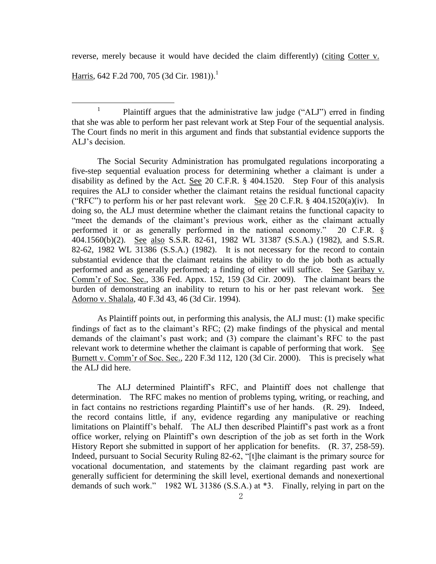reverse, merely because it would have decided the claim differently) (citing Cotter v.

Harris, 642 F.2d 700, 705 (3d Cir. 1981)).<sup>1</sup>

 $\overline{a}$ 

1 Plaintiff argues that the administrative law judge ("ALJ") erred in finding that she was able to perform her past relevant work at Step Four of the sequential analysis. The Court finds no merit in this argument and finds that substantial evidence supports the ALJ's decision.

The Social Security Administration has promulgated regulations incorporating a five-step sequential evaluation process for determining whether a claimant is under a disability as defined by the Act. See 20 C.F.R. § 404.1520. Step Four of this analysis requires the ALJ to consider whether the claimant retains the residual functional capacity ("RFC") to perform his or her past relevant work. See 20 C.F.R.  $\S$  404.1520(a)(iv). In doing so, the ALJ must determine whether the claimant retains the functional capacity to "meet the demands of the claimant's previous work, either as the claimant actually performed it or as generally performed in the national economy." 20 C.F.R. § 404.1560(b)(2). See also S.S.R. 82-61, 1982 WL 31387 (S.S.A.) (1982), and S.S.R. 82-62, 1982 WL 31386 (S.S.A.) (1982). It is not necessary for the record to contain substantial evidence that the claimant retains the ability to do the job both as actually performed and as generally performed; a finding of either will suffice. See Garibay v. Comm'r of Soc. Sec., 336 Fed. Appx. 152, 159 (3d Cir. 2009). The claimant bears the burden of demonstrating an inability to return to his or her past relevant work. See Adorno v. Shalala, 40 F.3d 43, 46 (3d Cir. 1994).

As Plaintiff points out, in performing this analysis, the ALJ must: (1) make specific findings of fact as to the claimant's RFC; (2) make findings of the physical and mental demands of the claimant's past work; and (3) compare the claimant's RFC to the past relevant work to determine whether the claimant is capable of performing that work. See Burnett v. Comm'r of Soc. Sec., 220 F.3d 112, 120 (3d Cir. 2000). This is precisely what the ALJ did here.

The ALJ determined Plaintiff's RFC, and Plaintiff does not challenge that determination. The RFC makes no mention of problems typing, writing, or reaching, and in fact contains no restrictions regarding Plaintiff's use of her hands. (R. 29). Indeed, the record contains little, if any, evidence regarding any manipulative or reaching limitations on Plaintiff's behalf. The ALJ then described Plaintiff's past work as a front office worker, relying on Plaintiff's own description of the job as set forth in the Work History Report she submitted in support of her application for benefits. (R. 37, 258-59). Indeed, pursuant to Social Security Ruling 82-62, "[t]he claimant is the primary source for vocational documentation, and statements by the claimant regarding past work are generally sufficient for determining the skill level, exertional demands and nonexertional demands of such work." 1982 WL 31386 (S.S.A.) at \*3. Finally, relying in part on the